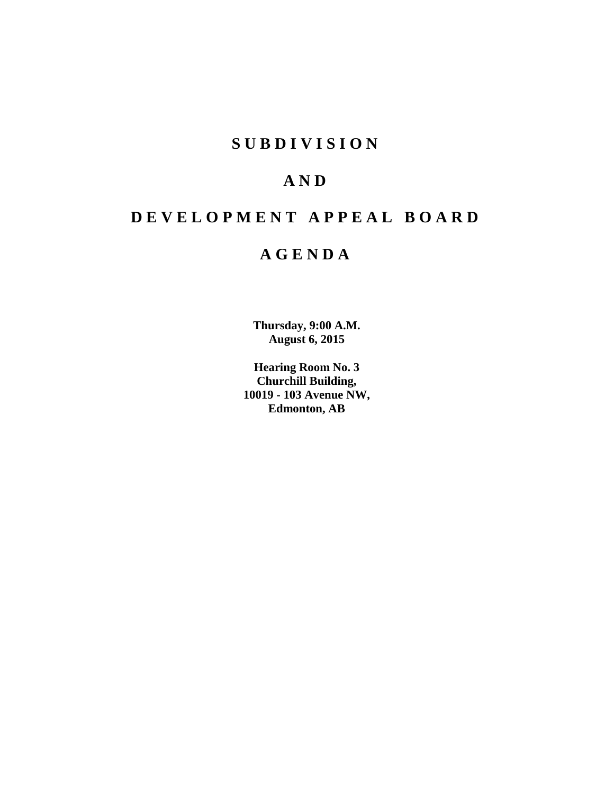# **S U B D I V I S I O N**

# **A N D**

# **D E V E L O P M E N T A P P E A L B O A R D**

# **A G E N D A**

**Thursday, 9:00 A.M. August 6, 2015**

**Hearing Room No. 3 Churchill Building, 10019 - 103 Avenue NW, Edmonton, AB**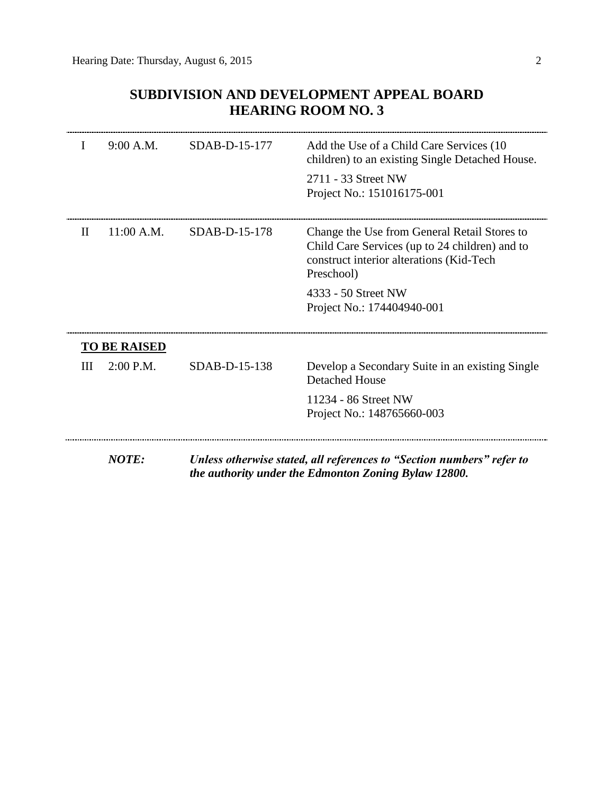# **SUBDIVISION AND DEVELOPMENT APPEAL BOARD HEARING ROOM NO. 3**

| T | 9:00 A.M.           | $SDAB-D-15-177$ | Add the Use of a Child Care Services (10)<br>children) to an existing Single Detached House.<br>2711 - 33 Street NW<br>Project No.: 151016175-001        |
|---|---------------------|-----------------|----------------------------------------------------------------------------------------------------------------------------------------------------------|
| H | 11:00 A.M.          | SDAB-D-15-178   | Change the Use from General Retail Stores to<br>Child Care Services (up to 24 children) and to<br>construct interior alterations (Kid-Tech<br>Preschool) |
|   |                     |                 | 4333 - 50 Street NW<br>Project No.: 174404940-001                                                                                                        |
|   | <b>TO BE RAISED</b> |                 |                                                                                                                                                          |
| Ш | $2:00$ P.M.         | $SDAB-D-15-138$ | Develop a Secondary Suite in an existing Single<br><b>Detached House</b>                                                                                 |
|   |                     |                 | 11234 - 86 Street NW<br>Project No.: 148765660-003                                                                                                       |
|   | <b>NOTE:</b>        |                 | Unless otherwise stated, all references to "Section numbers" refer to<br>the authority under the Edmonton Zoning Bylaw 12800.                            |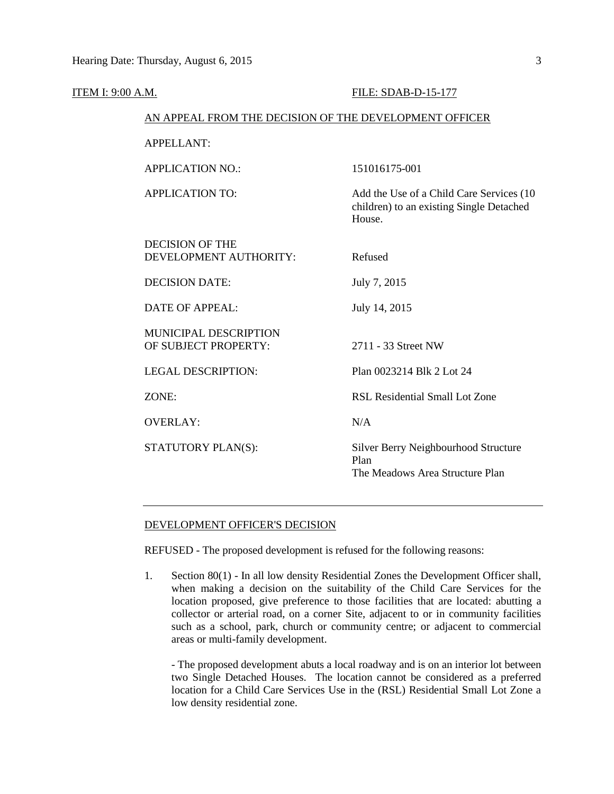| ITEM I: 9:00 A.M. |                                                        | FILE: SDAB-D-15-177                                                                            |  |  |
|-------------------|--------------------------------------------------------|------------------------------------------------------------------------------------------------|--|--|
|                   | AN APPEAL FROM THE DECISION OF THE DEVELOPMENT OFFICER |                                                                                                |  |  |
|                   | <b>APPELLANT:</b>                                      |                                                                                                |  |  |
|                   | <b>APPLICATION NO.:</b>                                | 151016175-001                                                                                  |  |  |
|                   | <b>APPLICATION TO:</b>                                 | Add the Use of a Child Care Services (10<br>children) to an existing Single Detached<br>House. |  |  |
|                   | <b>DECISION OF THE</b><br>DEVELOPMENT AUTHORITY:       | Refused                                                                                        |  |  |
|                   | <b>DECISION DATE:</b>                                  | July 7, 2015                                                                                   |  |  |
|                   | <b>DATE OF APPEAL:</b>                                 | July 14, 2015                                                                                  |  |  |
|                   | MUNICIPAL DESCRIPTION<br>OF SUBJECT PROPERTY:          | 2711 - 33 Street NW                                                                            |  |  |
|                   | <b>LEGAL DESCRIPTION:</b>                              | Plan 0023214 Blk 2 Lot 24                                                                      |  |  |
|                   | ZONE:                                                  | RSL Residential Small Lot Zone                                                                 |  |  |
|                   | <b>OVERLAY:</b>                                        | N/A                                                                                            |  |  |
|                   | STATUTORY PLAN(S):                                     | Silver Berry Neighbourhood Structure<br>Plan<br>The Meadows Area Structure Plan                |  |  |

#### DEVELOPMENT OFFICER'S DECISION

REFUSED - The proposed development is refused for the following reasons:

1. Section 80(1) - In all low density Residential Zones the Development Officer shall, when making a decision on the suitability of the Child Care Services for the location proposed, give preference to those facilities that are located: abutting a collector or arterial road, on a corner Site, adjacent to or in community facilities such as a school, park, church or community centre; or adjacent to commercial areas or multi-family development.

- The proposed development abuts a local roadway and is on an interior lot between two Single Detached Houses. The location cannot be considered as a preferred location for a Child Care Services Use in the (RSL) Residential Small Lot Zone a low density residential zone.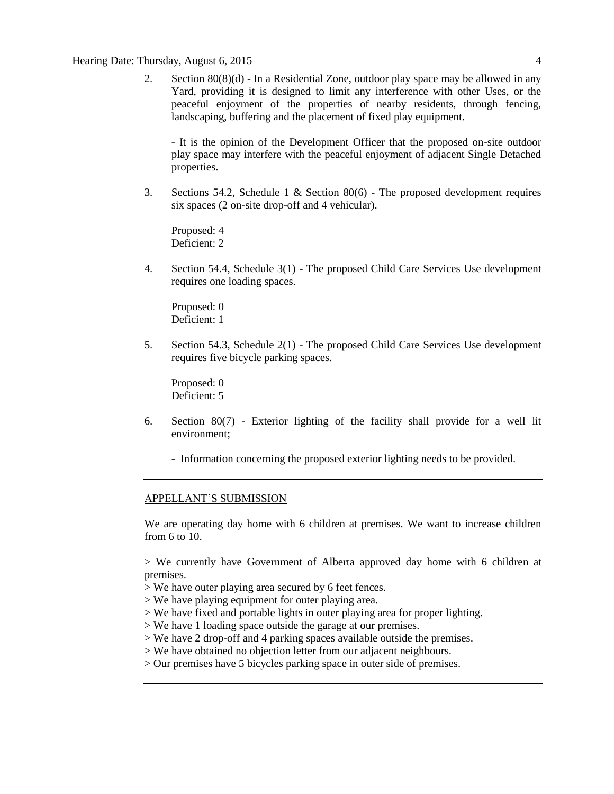#### Hearing Date: Thursday, August 6, 2015 4

2. Section 80(8)(d) - In a Residential Zone, outdoor play space may be allowed in any Yard, providing it is designed to limit any interference with other Uses, or the peaceful enjoyment of the properties of nearby residents, through fencing, landscaping, buffering and the placement of fixed play equipment.

- It is the opinion of the Development Officer that the proposed on-site outdoor play space may interfere with the peaceful enjoyment of adjacent Single Detached properties.

3. Sections 54.2, Schedule 1 & Section 80(6) - The proposed development requires six spaces (2 on-site drop-off and 4 vehicular).

Proposed: 4 Deficient: 2

4. Section 54.4, Schedule 3(1) - The proposed Child Care Services Use development requires one loading spaces.

Proposed: 0 Deficient: 1

5. Section 54.3, Schedule 2(1) - The proposed Child Care Services Use development requires five bicycle parking spaces.

Proposed: 0 Deficient: 5

- 6. Section 80(7) Exterior lighting of the facility shall provide for a well lit environment;
	- Information concerning the proposed exterior lighting needs to be provided.

#### APPELLANT'S SUBMISSION

We are operating day home with 6 children at premises. We want to increase children from 6 to 10.

> We currently have Government of Alberta approved day home with 6 children at premises.

- > We have outer playing area secured by 6 feet fences.
- > We have playing equipment for outer playing area.
- > We have fixed and portable lights in outer playing area for proper lighting.
- > We have 1 loading space outside the garage at our premises.
- > We have 2 drop-off and 4 parking spaces available outside the premises.
- > We have obtained no objection letter from our adjacent neighbours.
- > Our premises have 5 bicycles parking space in outer side of premises.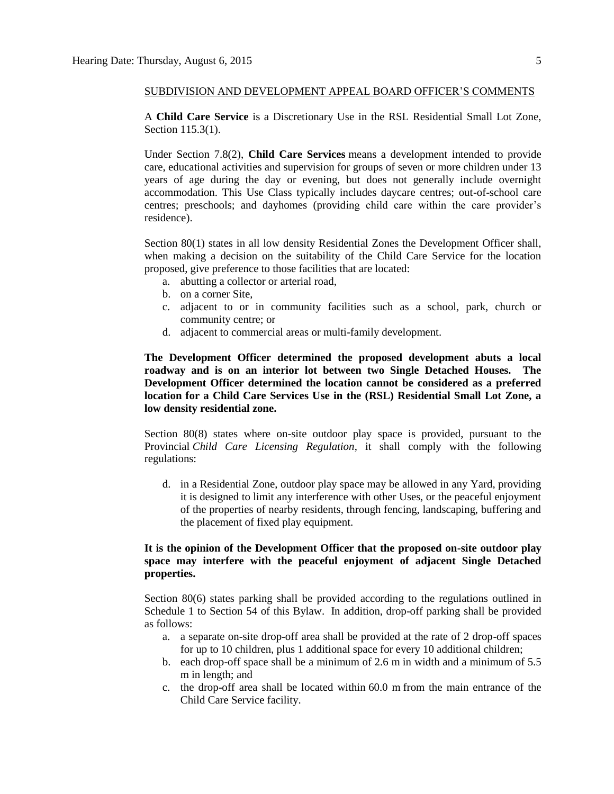#### SUBDIVISION AND DEVELOPMENT APPEAL BOARD OFFICER'S COMMENTS

A **Child Care Service** is a Discretionary Use in the RSL Residential Small Lot Zone, Section 115.3(1).

Under Section 7.8(2), **Child Care Services** means a development intended to provide care, educational activities and supervision for groups of seven or more children under 13 years of age during the day or evening, but does not generally include overnight accommodation. This Use Class typically includes daycare centres; out-of-school care centres; preschools; and dayhomes (providing child care within the care provider's residence).

Section 80(1) states in all low density Residential Zones the Development Officer shall, when making a decision on the suitability of the Child Care Service for the location proposed, give preference to those facilities that are located:

- a. abutting a collector or arterial road,
- b. on a corner Site,
- c. adjacent to or in community facilities such as a school, park, church or community centre; or
- d. adjacent to commercial areas or multi-family development.

**The Development Officer determined the proposed development abuts a local roadway and is on an interior lot between two Single Detached Houses. The Development Officer determined the location cannot be considered as a preferred location for a Child Care Services Use in the (RSL) Residential Small Lot Zone, a low density residential zone.**

Section 80(8) states where on-site outdoor play space is provided, pursuant to the Provincial *Child Care Licensing Regulation*, it shall comply with the following regulations:

d. in a Residential Zone, outdoor play space may be allowed in any Yard, providing it is designed to limit any interference with other Uses, or the peaceful enjoyment of the properties of nearby residents, through fencing, landscaping, buffering and the placement of fixed play equipment.

### **It is the opinion of the Development Officer that the proposed on-site outdoor play space may interfere with the peaceful enjoyment of adjacent Single Detached properties.**

Section 80(6) states parking shall be provided according to the regulations outlined in Schedule 1 to Section 54 of this Bylaw. In addition, drop-off parking shall be provided as follows:

- a. a separate on-site drop-off area shall be provided at the rate of 2 drop-off spaces for up to 10 children, plus 1 additional space for every 10 additional children;
- b. each drop-off space shall be a minimum of [2.6 m](javascript:void(0);) in width and a minimum of [5.5](javascript:void(0);)  [m](javascript:void(0);) in length; and
- c. the drop-off area shall be located within [60.0 m](javascript:void(0);) from the main entrance of the Child Care Service facility.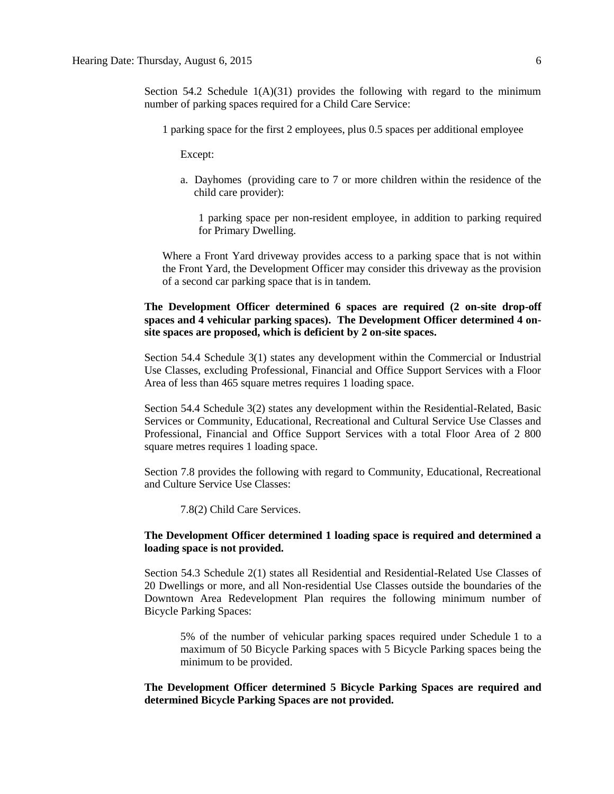Section 54.2 Schedule  $1(A)(31)$  provides the following with regard to the minimum number of parking spaces required for a Child Care Service:

1 parking space for the first 2 employees, plus 0.5 spaces per additional employee

Except:

a. Dayhomes (providing care to 7 or more children within the residence of the child care provider):

1 parking space per non-resident employee, in addition to parking required for Primary Dwelling.

Where a Front Yard driveway provides access to a parking space that is not within the Front Yard, the Development Officer may consider this driveway as the provision of a second car parking space that is in tandem.

### **The Development Officer determined 6 spaces are required (2 on-site drop-off spaces and 4 vehicular parking spaces). The Development Officer determined 4 onsite spaces are proposed, which is deficient by 2 on-site spaces.**

Section 54.4 Schedule 3(1) states any development within the Commercial or Industrial Use Classes, excluding Professional, Financial and Office Support Services with a Floor Area of less than 465 square metres requires 1 loading space.

Section 54.4 Schedule 3(2) states any development within the Residential-Related, Basic Services or Community, Educational, Recreational and Cultural Service Use Classes and Professional, Financial and Office Support Services with a total Floor Area of 2 800 square metres requires 1 loading space.

Section 7.8 provides the following with regard to Community, Educational, Recreational and Culture Service Use Classes:

7.8(2) Child Care Services.

#### **The Development Officer determined 1 loading space is required and determined a loading space is not provided.**

Section 54.3 Schedule 2(1) states all Residential and Residential-Related Use Classes of 20 Dwellings or more, and all Non-residential Use Classes outside the boundaries of the Downtown Area Redevelopment Plan requires the following minimum number of Bicycle Parking Spaces:

5% of the number of vehicular parking spaces required under Schedule 1 to a maximum of 50 Bicycle Parking spaces with 5 Bicycle Parking spaces being the minimum to be provided.

**The Development Officer determined 5 Bicycle Parking Spaces are required and determined Bicycle Parking Spaces are not provided.**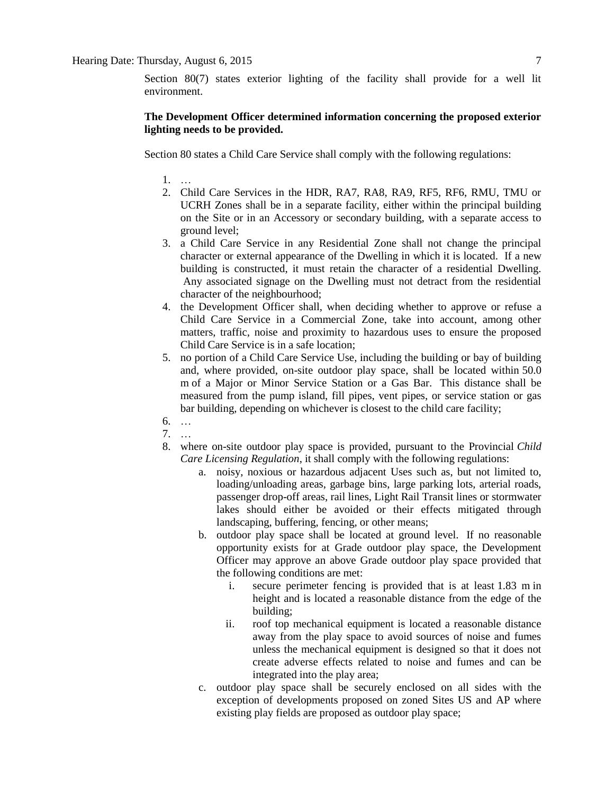Section 80(7) states exterior lighting of the facility shall provide for a well lit environment.

## **The Development Officer determined information concerning the proposed exterior lighting needs to be provided.**

Section 80 states a Child Care Service shall comply with the following regulations:

- 1. …
- 2. Child Care Services in the HDR, RA7, RA8, RA9, RF5, RF6, RMU, TMU or UCRH Zones shall be in a separate facility, either within the principal building on the Site or in an Accessory or secondary building, with a separate access to ground level;
- 3. a Child Care Service in any Residential Zone shall not change the principal character or external appearance of the Dwelling in which it is located. If a new building is constructed, it must retain the character of a residential Dwelling. Any associated signage on the Dwelling must not detract from the residential character of the neighbourhood;
- 4. the Development Officer shall, when deciding whether to approve or refuse a Child Care Service in a Commercial Zone, take into account, among other matters, traffic, noise and proximity to hazardous uses to ensure the proposed Child Care Service is in a safe location;
- 5. no portion of a Child Care Service Use, including the building or bay of building and, where provided, on-site outdoor play space, shall be located within [50.0](javascript:void(0);)  [m](javascript:void(0);) of a Major or Minor Service Station or a Gas Bar. This distance shall be measured from the pump island, fill pipes, vent pipes, or service station or gas bar building, depending on whichever is closest to the child care facility;
- 6. …
- 7. …
- 8. where on-site outdoor play space is provided, pursuant to the Provincial *Child Care Licensing Regulation*, it shall comply with the following regulations:
	- a. noisy, noxious or hazardous adjacent Uses such as, but not limited to, loading/unloading areas, garbage bins, large parking lots, arterial roads, passenger drop-off areas, rail lines, Light Rail Transit lines or stormwater lakes should either be avoided or their effects mitigated through landscaping, buffering, fencing, or other means;
	- b. outdoor play space shall be located at ground level. If no reasonable opportunity exists for at Grade outdoor play space, the Development Officer may approve an above Grade outdoor play space provided that the following conditions are met:
		- i. secure perimeter fencing is provided that is at least [1.83 m](javascript:void(0);) in height and is located a reasonable distance from the edge of the building;
		- ii. roof top mechanical equipment is located a reasonable distance away from the play space to avoid sources of noise and fumes unless the mechanical equipment is designed so that it does not create adverse effects related to noise and fumes and can be integrated into the play area;
	- c. outdoor play space shall be securely enclosed on all sides with the exception of developments proposed on zoned Sites US and AP where existing play fields are proposed as outdoor play space;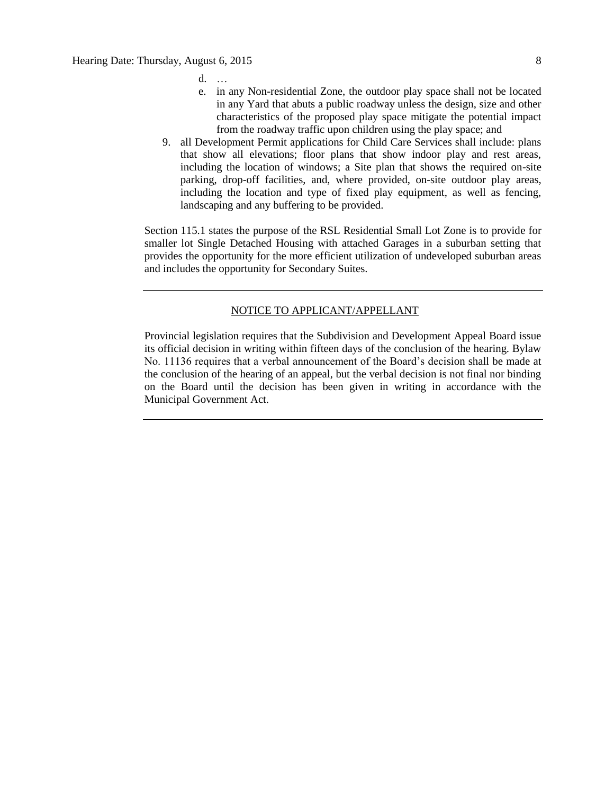- $d$ .
- e. in any Non-residential Zone, the outdoor play space shall not be located in any Yard that abuts a public roadway unless the design, size and other characteristics of the proposed play space mitigate the potential impact from the roadway traffic upon children using the play space; and
- 9. all Development Permit applications for Child Care Services shall include: plans that show all elevations; floor plans that show indoor play and rest areas, including the location of windows; a Site plan that shows the required on-site parking, drop-off facilities, and, where provided, on-site outdoor play areas, including the location and type of fixed play equipment, as well as fencing, landscaping and any buffering to be provided.

Section 115.1 states the purpose of the RSL Residential Small Lot Zone is to provide for smaller lot Single Detached Housing with attached Garages in a suburban setting that provides the opportunity for the more efficient utilization of undeveloped suburban areas and includes the opportunity for Secondary Suites.

#### NOTICE TO APPLICANT/APPELLANT

Provincial legislation requires that the Subdivision and Development Appeal Board issue its official decision in writing within fifteen days of the conclusion of the hearing. Bylaw No. 11136 requires that a verbal announcement of the Board's decision shall be made at the conclusion of the hearing of an appeal, but the verbal decision is not final nor binding on the Board until the decision has been given in writing in accordance with the Municipal Government Act.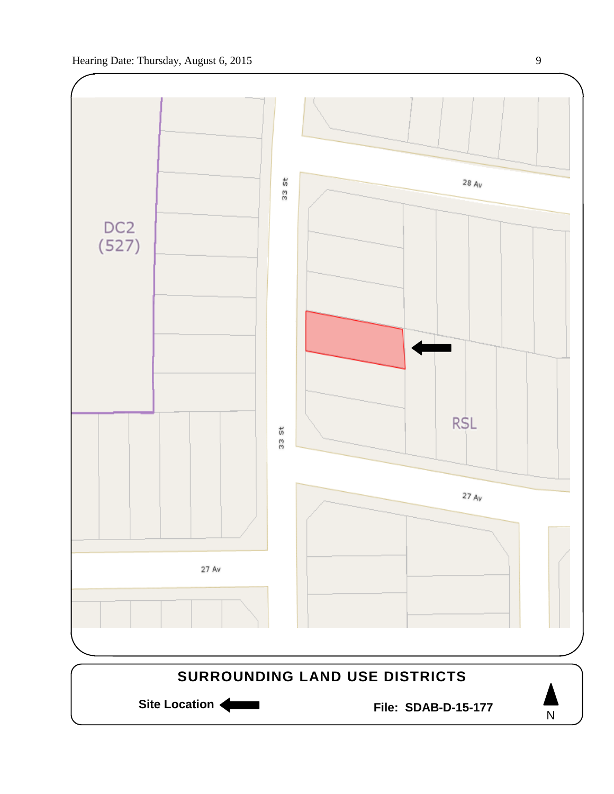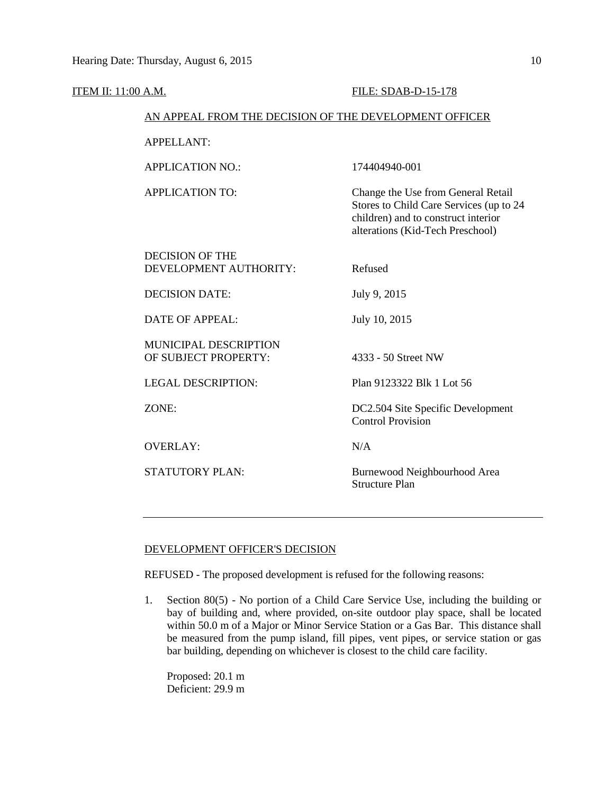| ITEM II: 11:00 A.M.                              | <b>FILE: SDAB-D-15-178</b>                                                                                                                               |
|--------------------------------------------------|----------------------------------------------------------------------------------------------------------------------------------------------------------|
|                                                  | AN APPEAL FROM THE DECISION OF THE DEVELOPMENT OFFICER                                                                                                   |
| <b>APPELLANT:</b>                                |                                                                                                                                                          |
| <b>APPLICATION NO.:</b>                          | 174404940-001                                                                                                                                            |
| <b>APPLICATION TO:</b>                           | Change the Use from General Retail<br>Stores to Child Care Services (up to 24<br>children) and to construct interior<br>alterations (Kid-Tech Preschool) |
| <b>DECISION OF THE</b><br>DEVELOPMENT AUTHORITY: | Refused                                                                                                                                                  |
| <b>DECISION DATE:</b>                            | July 9, 2015                                                                                                                                             |
| <b>DATE OF APPEAL:</b>                           | July 10, 2015                                                                                                                                            |
| MUNICIPAL DESCRIPTION<br>OF SUBJECT PROPERTY:    | 4333 - 50 Street NW                                                                                                                                      |
| <b>LEGAL DESCRIPTION:</b>                        | Plan 9123322 Blk 1 Lot 56                                                                                                                                |
| ZONE:                                            | DC2.504 Site Specific Development<br><b>Control Provision</b>                                                                                            |
| <b>OVERLAY:</b>                                  | N/A                                                                                                                                                      |
| <b>STATUTORY PLAN:</b>                           | Burnewood Neighbourhood Area<br><b>Structure Plan</b>                                                                                                    |

## DEVELOPMENT OFFICER'S DECISION

REFUSED - The proposed development is refused for the following reasons:

1. Section 80(5) - No portion of a Child Care Service Use, including the building or bay of building and, where provided, on-site outdoor play space, shall be located within 50.0 m of a Major or Minor Service Station or a Gas Bar. This distance shall be measured from the pump island, fill pipes, vent pipes, or service station or gas bar building, depending on whichever is closest to the child care facility.

Proposed: 20.1 m Deficient: 29.9 m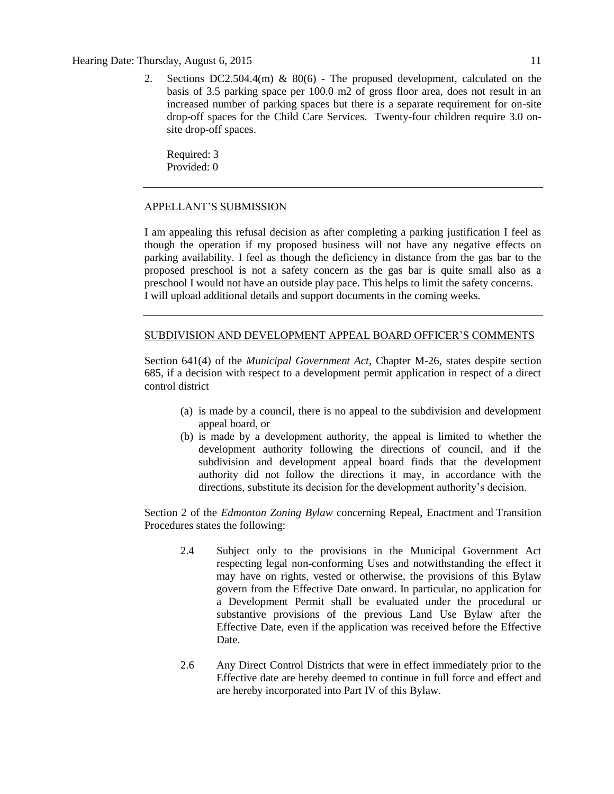#### Hearing Date: Thursday, August 6, 2015 11

2. Sections DC2.504.4(m) & 80(6) - The proposed development, calculated on the basis of 3.5 parking space per 100.0 m2 of gross floor area, does not result in an increased number of parking spaces but there is a separate requirement for on-site drop-off spaces for the Child Care Services. Twenty-four children require 3.0 onsite drop-off spaces.

Required: 3 Provided: 0

#### APPELLANT'S SUBMISSION

I am appealing this refusal decision as after completing a parking justification I feel as though the operation if my proposed business will not have any negative effects on parking availability. I feel as though the deficiency in distance from the gas bar to the proposed preschool is not a safety concern as the gas bar is quite small also as a preschool I would not have an outside play pace. This helps to limit the safety concerns. I will upload additional details and support documents in the coming weeks.

### SUBDIVISION AND DEVELOPMENT APPEAL BOARD OFFICER'S COMMENTS

Section 641(4) of the *Municipal Government Act*, Chapter M-26, states despite section 685, if a decision with respect to a development permit application in respect of a direct control district

- (a) is made by a council, there is no appeal to the subdivision and development appeal board, or
- (b) is made by a development authority, the appeal is limited to whether the development authority following the directions of council, and if the subdivision and development appeal board finds that the development authority did not follow the directions it may, in accordance with the directions, substitute its decision for the development authority's decision.

Section 2 of the *Edmonton Zoning Bylaw* concerning Repeal, Enactment and Transition Procedures states the following:

- 2.4 Subject only to the provisions in the Municipal Government Act respecting legal non-conforming Uses and notwithstanding the effect it may have on rights, vested or otherwise, the provisions of this Bylaw govern from the Effective Date onward. In particular, no application for a Development Permit shall be evaluated under the procedural or substantive provisions of the previous Land Use Bylaw after the Effective Date, even if the application was received before the Effective Date.
- 2.6 Any Direct Control Districts that were in effect immediately prior to the Effective date are hereby deemed to continue in full force and effect and are hereby incorporated into Part IV of this Bylaw.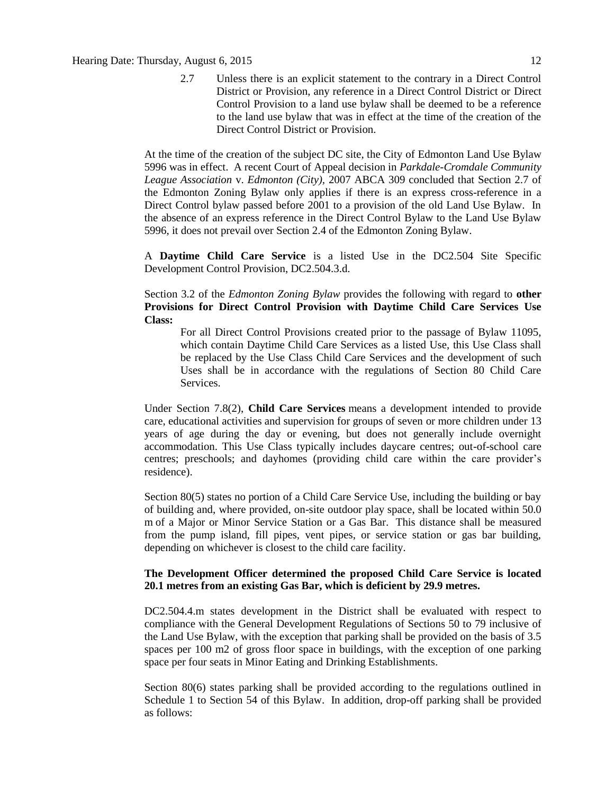2.7 Unless there is an explicit statement to the contrary in a Direct Control District or Provision, any reference in a Direct Control District or Direct Control Provision to a land use bylaw shall be deemed to be a reference to the land use bylaw that was in effect at the time of the creation of the Direct Control District or Provision.

At the time of the creation of the subject DC site, the City of Edmonton Land Use Bylaw 5996 was in effect. A recent Court of Appeal decision in *Parkdale-Cromdale Community League Association* v. *Edmonton (City),* 2007 ABCA 309 concluded that Section 2.7 of the Edmonton Zoning Bylaw only applies if there is an express cross-reference in a Direct Control bylaw passed before 2001 to a provision of the old Land Use Bylaw. In the absence of an express reference in the Direct Control Bylaw to the Land Use Bylaw 5996, it does not prevail over Section 2.4 of the Edmonton Zoning Bylaw.

A **Daytime Child Care Service** is a listed Use in the DC2.504 Site Specific Development Control Provision, DC2.504.3.d.

Section 3.2 of the *Edmonton Zoning Bylaw* provides the following with regard to **other Provisions for Direct Control Provision with Daytime Child Care Services Use Class:**

For all Direct Control Provisions created prior to the passage of Bylaw 11095, which contain Daytime Child Care Services as a listed Use, this Use Class shall be replaced by the Use Class Child Care Services and the development of such Uses shall be in accordance with the regulations of Section 80 Child Care Services.

Under Section 7.8(2), **Child Care Services** means a development intended to provide care, educational activities and supervision for groups of seven or more children under 13 years of age during the day or evening, but does not generally include overnight accommodation. This Use Class typically includes daycare centres; out-of-school care centres; preschools; and dayhomes (providing child care within the care provider's residence).

Section 80(5) states no portion of a Child Care Service Use, including the building or bay of building and, where provided, on-site outdoor play space, shall be located within [50.0](javascript:void(0);)  [m](javascript:void(0);) of a Major or Minor Service Station or a Gas Bar. This distance shall be measured from the pump island, fill pipes, vent pipes, or service station or gas bar building, depending on whichever is closest to the child care facility.

### **The Development Officer determined the proposed Child Care Service is located 20.1 metres from an existing Gas Bar, which is deficient by 29.9 metres.**

DC2.504.4.m states development in the District shall be evaluated with respect to compliance with the General Development Regulations of Sections 50 to 79 inclusive of the Land Use Bylaw, with the exception that parking shall be provided on the basis of 3.5 spaces per 100 m2 of gross floor space in buildings, with the exception of one parking space per four seats in Minor Eating and Drinking Establishments.

Section 80(6) states parking shall be provided according to the regulations outlined in Schedule 1 to Section 54 of this Bylaw. In addition, drop-off parking shall be provided as follows: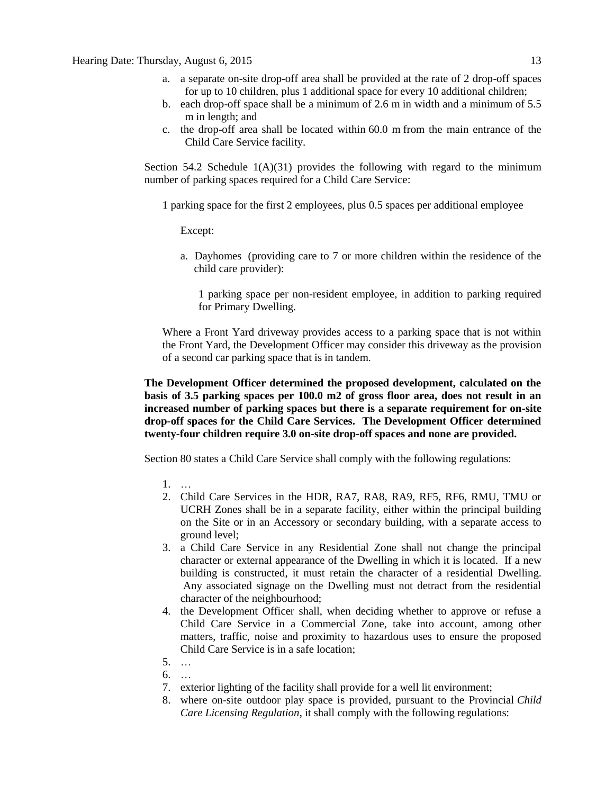- a. a separate on-site drop-off area shall be provided at the rate of 2 drop-off spaces for up to 10 children, plus 1 additional space for every 10 additional children;
- b. each drop-off space shall be a minimum of [2.6 m](javascript:void(0);) in width and a minimum of [5.5](javascript:void(0);)  [m](javascript:void(0);) in length; and
- c. the drop-off area shall be located within [60.0 m](javascript:void(0);) from the main entrance of the Child Care Service facility.

Section 54.2 Schedule  $1(A)(31)$  provides the following with regard to the minimum number of parking spaces required for a Child Care Service:

1 parking space for the first 2 employees, plus 0.5 spaces per additional employee

Except:

a. Dayhomes (providing care to 7 or more children within the residence of the child care provider):

1 parking space per non-resident employee, in addition to parking required for Primary Dwelling.

Where a Front Yard driveway provides access to a parking space that is not within the Front Yard, the Development Officer may consider this driveway as the provision of a second car parking space that is in tandem.

**The Development Officer determined the proposed development, calculated on the basis of 3.5 parking spaces per 100.0 m2 of gross floor area, does not result in an increased number of parking spaces but there is a separate requirement for on-site drop-off spaces for the Child Care Services. The Development Officer determined twenty-four children require 3.0 on-site drop-off spaces and none are provided.**

Section 80 states a Child Care Service shall comply with the following regulations:

- 1. …
- 2. Child Care Services in the HDR, RA7, RA8, RA9, RF5, RF6, RMU, TMU or UCRH Zones shall be in a separate facility, either within the principal building on the Site or in an Accessory or secondary building, with a separate access to ground level;
- 3. a Child Care Service in any Residential Zone shall not change the principal character or external appearance of the Dwelling in which it is located. If a new building is constructed, it must retain the character of a residential Dwelling. Any associated signage on the Dwelling must not detract from the residential character of the neighbourhood;
- 4. the Development Officer shall, when deciding whether to approve or refuse a Child Care Service in a Commercial Zone, take into account, among other matters, traffic, noise and proximity to hazardous uses to ensure the proposed Child Care Service is in a safe location;
- 5. …
- 6. …
- 7. exterior lighting of the facility shall provide for a well lit environment;
- 8. where on-site outdoor play space is provided, pursuant to the Provincial *Child Care Licensing Regulation*, it shall comply with the following regulations: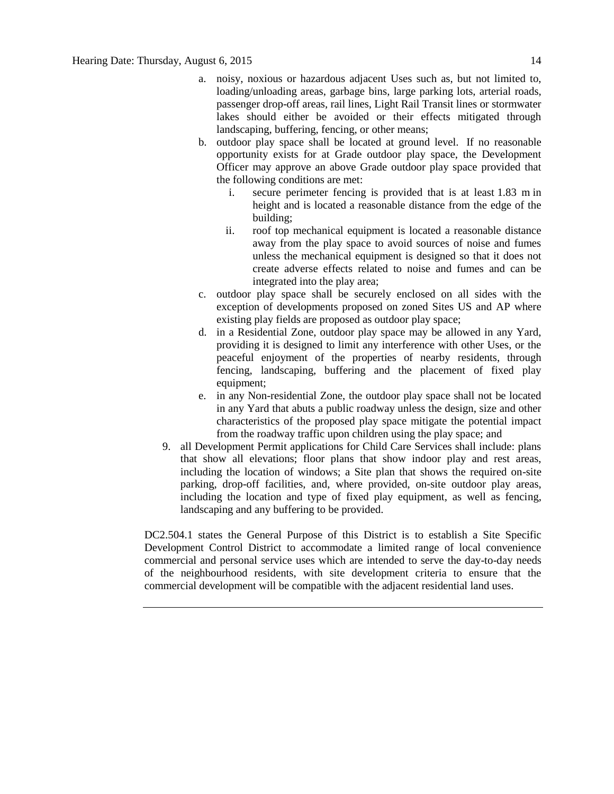- a. noisy, noxious or hazardous adjacent Uses such as, but not limited to, loading/unloading areas, garbage bins, large parking lots, arterial roads, passenger drop-off areas, rail lines, Light Rail Transit lines or stormwater lakes should either be avoided or their effects mitigated through landscaping, buffering, fencing, or other means;
- b. outdoor play space shall be located at ground level. If no reasonable opportunity exists for at Grade outdoor play space, the Development Officer may approve an above Grade outdoor play space provided that the following conditions are met:
	- i. secure perimeter fencing is provided that is at least [1.83 m](javascript:void(0);) in height and is located a reasonable distance from the edge of the building;
	- ii. roof top mechanical equipment is located a reasonable distance away from the play space to avoid sources of noise and fumes unless the mechanical equipment is designed so that it does not create adverse effects related to noise and fumes and can be integrated into the play area;
- c. outdoor play space shall be securely enclosed on all sides with the exception of developments proposed on zoned Sites US and AP where existing play fields are proposed as outdoor play space;
- d. in a Residential Zone, outdoor play space may be allowed in any Yard, providing it is designed to limit any interference with other Uses, or the peaceful enjoyment of the properties of nearby residents, through fencing, landscaping, buffering and the placement of fixed play equipment;
- e. in any Non-residential Zone, the outdoor play space shall not be located in any Yard that abuts a public roadway unless the design, size and other characteristics of the proposed play space mitigate the potential impact from the roadway traffic upon children using the play space; and
- 9. all Development Permit applications for Child Care Services shall include: plans that show all elevations; floor plans that show indoor play and rest areas, including the location of windows; a Site plan that shows the required on-site parking, drop-off facilities, and, where provided, on-site outdoor play areas, including the location and type of fixed play equipment, as well as fencing, landscaping and any buffering to be provided.

DC2.504.1 states the General Purpose of this District is to establish a Site Specific Development Control District to accommodate a limited range of local convenience commercial and personal service uses which are intended to serve the day-to-day needs of the neighbourhood residents, with site development criteria to ensure that the commercial development will be compatible with the adjacent residential land uses.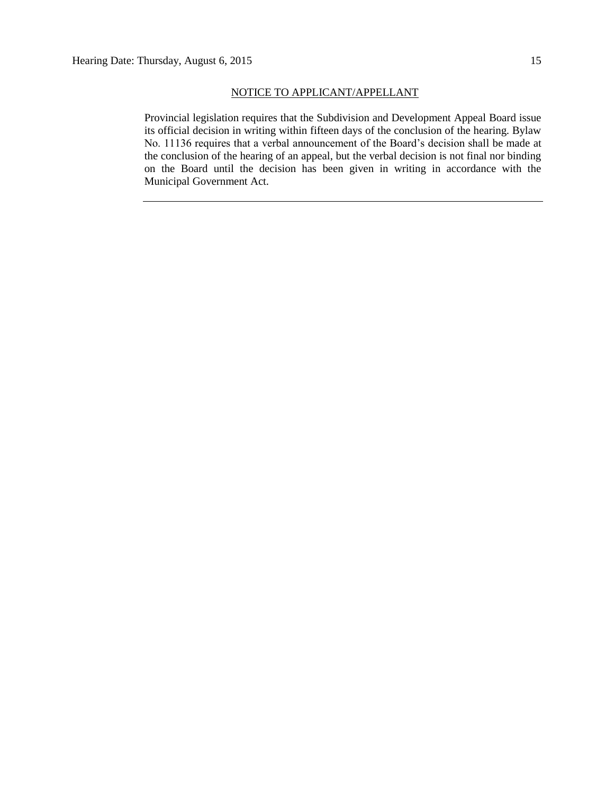#### NOTICE TO APPLICANT/APPELLANT

Provincial legislation requires that the Subdivision and Development Appeal Board issue its official decision in writing within fifteen days of the conclusion of the hearing. Bylaw No. 11136 requires that a verbal announcement of the Board's decision shall be made at the conclusion of the hearing of an appeal, but the verbal decision is not final nor binding on the Board until the decision has been given in writing in accordance with the Municipal Government Act.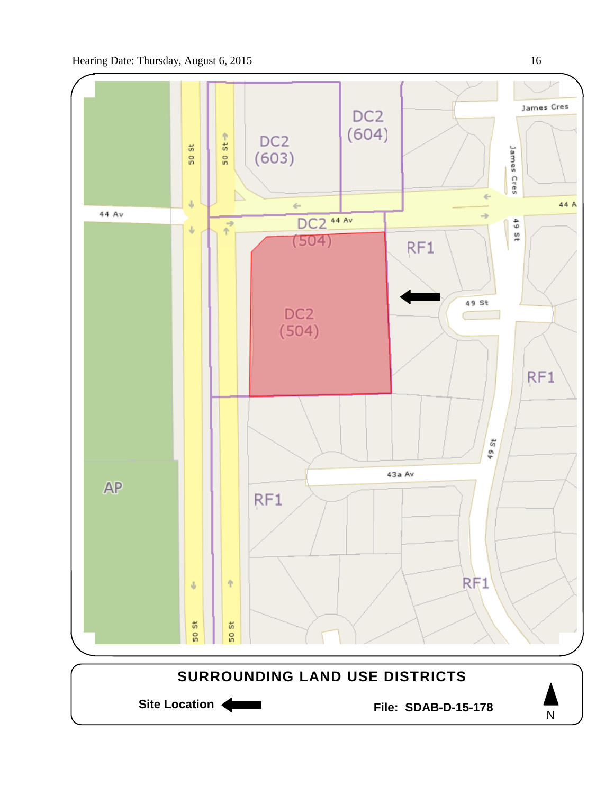



N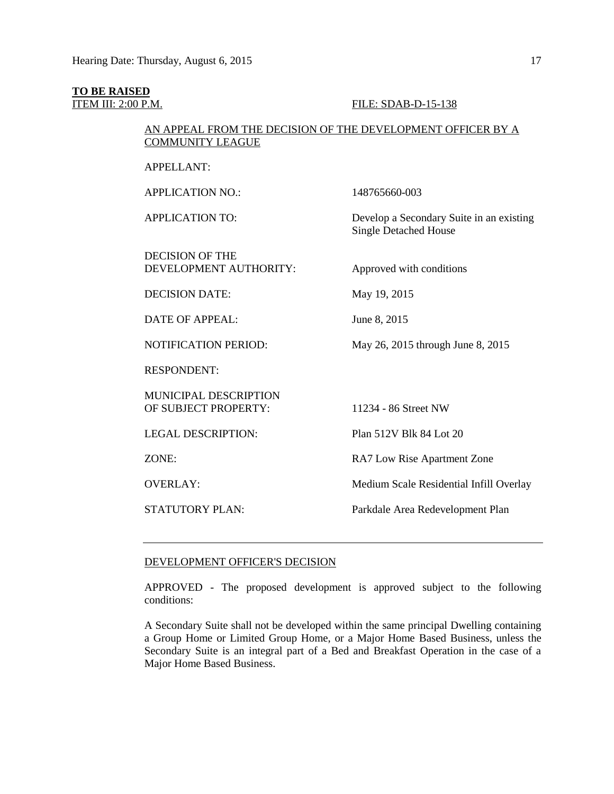# **TO BE RAISED**

#### **ITEM III: 2:00 P.M. FILE: SDAB-D-15-138**

# AN APPEAL FROM THE DECISION OF THE DEVELOPMENT OFFICER BY A COMMUNITY LEAGUE

APPELLANT: APPLICATION NO.: 148765660-003

APPLICATION TO: Develop a Secondary Suite in an existing

DECISION OF THE DEVELOPMENT AUTHORITY: Approved with conditions

DECISION DATE: May 19, 2015

DATE OF APPEAL: June 8, 2015

RESPONDENT:

MUNICIPAL DESCRIPTION OF SUBJECT PROPERTY: 11234 - 86 Street NW

Single Detached House

NOTIFICATION PERIOD: May 26, 2015 through June 8, 2015

LEGAL DESCRIPTION: Plan 512V Blk 84 Lot 20

ZONE: RA7 Low Rise Apartment Zone

OVERLAY: Medium Scale Residential Infill Overlay

STATUTORY PLAN: Parkdale Area Redevelopment Plan

#### DEVELOPMENT OFFICER'S DECISION

APPROVED - The proposed development is approved subject to the following conditions:

A Secondary Suite shall not be developed within the same principal Dwelling containing a Group Home or Limited Group Home, or a Major Home Based Business, unless the Secondary Suite is an integral part of a Bed and Breakfast Operation in the case of a Major Home Based Business.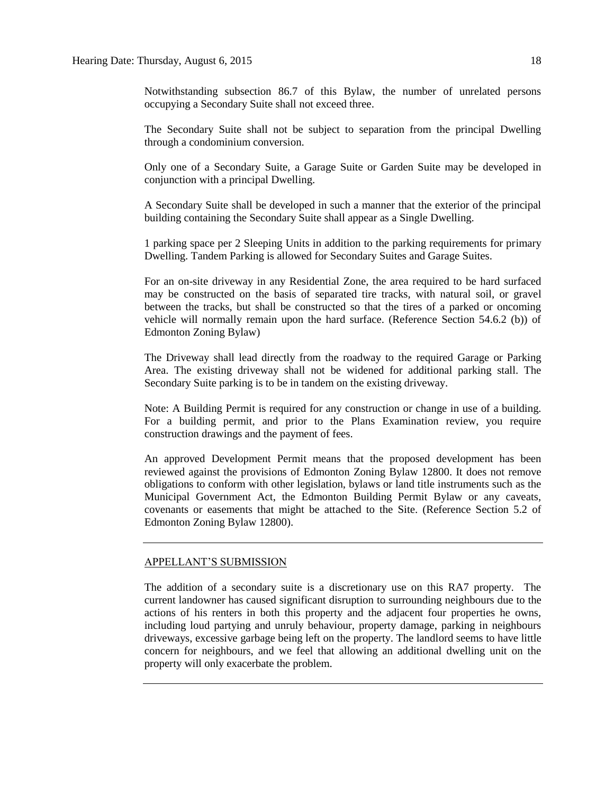Notwithstanding subsection 86.7 of this Bylaw, the number of unrelated persons occupying a Secondary Suite shall not exceed three.

The Secondary Suite shall not be subject to separation from the principal Dwelling through a condominium conversion.

Only one of a Secondary Suite, a Garage Suite or Garden Suite may be developed in conjunction with a principal Dwelling.

A Secondary Suite shall be developed in such a manner that the exterior of the principal building containing the Secondary Suite shall appear as a Single Dwelling.

1 parking space per 2 Sleeping Units in addition to the parking requirements for primary Dwelling. Tandem Parking is allowed for Secondary Suites and Garage Suites.

For an on-site driveway in any Residential Zone, the area required to be hard surfaced may be constructed on the basis of separated tire tracks, with natural soil, or gravel between the tracks, but shall be constructed so that the tires of a parked or oncoming vehicle will normally remain upon the hard surface. (Reference Section 54.6.2 (b)) of Edmonton Zoning Bylaw)

The Driveway shall lead directly from the roadway to the required Garage or Parking Area. The existing driveway shall not be widened for additional parking stall. The Secondary Suite parking is to be in tandem on the existing driveway.

Note: A Building Permit is required for any construction or change in use of a building. For a building permit, and prior to the Plans Examination review, you require construction drawings and the payment of fees.

An approved Development Permit means that the proposed development has been reviewed against the provisions of Edmonton Zoning Bylaw 12800. It does not remove obligations to conform with other legislation, bylaws or land title instruments such as the Municipal Government Act, the Edmonton Building Permit Bylaw or any caveats, covenants or easements that might be attached to the Site. (Reference Section 5.2 of Edmonton Zoning Bylaw 12800).

#### APPELLANT'S SUBMISSION

The addition of a secondary suite is a discretionary use on this RA7 property. The current landowner has caused significant disruption to surrounding neighbours due to the actions of his renters in both this property and the adjacent four properties he owns, including loud partying and unruly behaviour, property damage, parking in neighbours driveways, excessive garbage being left on the property. The landlord seems to have little concern for neighbours, and we feel that allowing an additional dwelling unit on the property will only exacerbate the problem.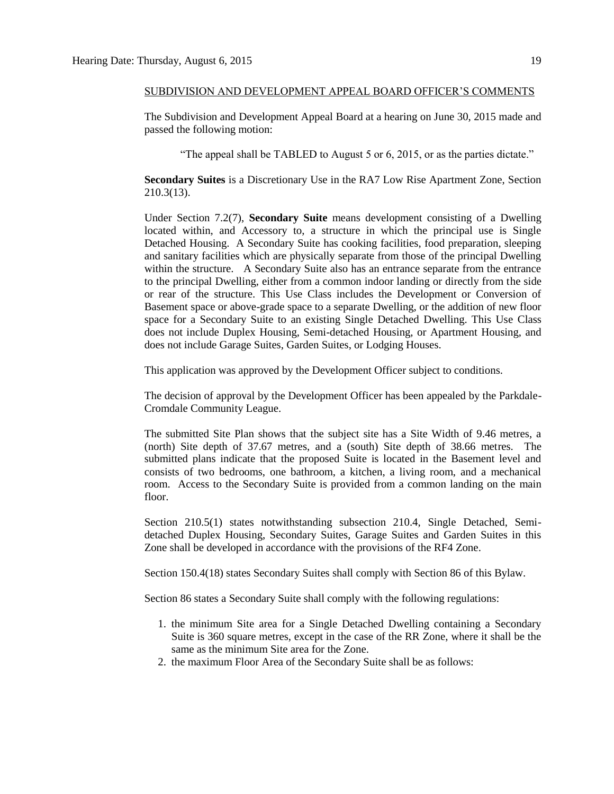#### SUBDIVISION AND DEVELOPMENT APPEAL BOARD OFFICER'S COMMENTS

The Subdivision and Development Appeal Board at a hearing on June 30, 2015 made and passed the following motion:

"The appeal shall be TABLED to August 5 or 6, 2015, or as the parties dictate."

**Secondary Suites** is a Discretionary Use in the RA7 Low Rise Apartment Zone, Section 210.3(13).

Under Section 7.2(7), **Secondary Suite** means development consisting of a Dwelling located within, and Accessory to, a structure in which the principal use is Single Detached Housing. A Secondary Suite has cooking facilities, food preparation, sleeping and sanitary facilities which are physically separate from those of the principal Dwelling within the structure. A Secondary Suite also has an entrance separate from the entrance to the principal Dwelling, either from a common indoor landing or directly from the side or rear of the structure. This Use Class includes the Development or Conversion of Basement space or above-grade space to a separate Dwelling, or the addition of new floor space for a Secondary Suite to an existing Single Detached Dwelling. This Use Class does not include Duplex Housing, Semi-detached Housing, or Apartment Housing, and does not include Garage Suites, Garden Suites, or Lodging Houses.

This application was approved by the Development Officer subject to conditions.

The decision of approval by the Development Officer has been appealed by the Parkdale-Cromdale Community League.

The submitted Site Plan shows that the subject site has a Site Width of 9.46 metres, a (north) Site depth of 37.67 metres, and a (south) Site depth of 38.66 metres. The submitted plans indicate that the proposed Suite is located in the Basement level and consists of two bedrooms, one bathroom, a kitchen, a living room, and a mechanical room. Access to the Secondary Suite is provided from a common landing on the main floor.

Section 210.5(1) states notwithstanding subsection 210.4, Single Detached, Semidetached Duplex Housing, Secondary Suites, Garage Suites and Garden Suites in this Zone shall be developed in accordance with the provisions of the [RF4 Zone.](http://webdocs.edmonton.ca/InfraPlan/zoningbylaw/ZoningBylaw/Part2/Residential/150_(RF4)_Semi-detached_Residential_Zone.htm)

Section 150.4(18) states Secondary Suites shall comply with Section 86 of this Bylaw.

Section 86 states a Secondary Suite shall comply with the following regulations:

- 1. the minimum Site area for a Single Detached Dwelling containing a Secondary Suite is 360 square metres, except in the case of the RR Zone, where it shall be the same as the minimum Site area for the Zone.
- 2. the maximum Floor Area of the Secondary Suite shall be as follows: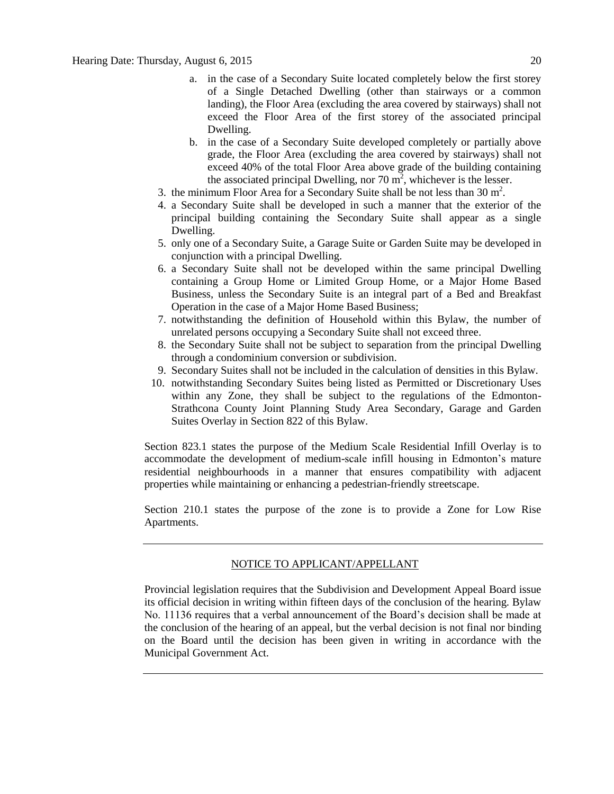- a. in the case of a Secondary Suite located completely below the first storey of a Single Detached Dwelling (other than stairways or a common landing), the Floor Area (excluding the area covered by stairways) shall not exceed the Floor Area of the first storey of the associated principal Dwelling.
- b. in the case of a Secondary Suite developed completely or partially above grade, the Floor Area (excluding the area covered by stairways) shall not exceed 40% of the total Floor Area above grade of the building containing the associated principal Dwelling, nor 70  $\overline{m}^2$ , whichever is the lesser.
- 3. the minimum Floor Area for a Secondary Suite shall be not less than  $30 \text{ m}^2$ .
- 4. a Secondary Suite shall be developed in such a manner that the exterior of the principal building containing the Secondary Suite shall appear as a single Dwelling.
- 5. only one of a Secondary Suite, a Garage Suite or Garden Suite may be developed in conjunction with a principal Dwelling.
- 6. a Secondary Suite shall not be developed within the same principal Dwelling containing a Group Home or Limited Group Home, or a Major Home Based Business, unless the Secondary Suite is an integral part of a Bed and Breakfast Operation in the case of a Major Home Based Business;
- 7. notwithstanding the definition of Household within this Bylaw, the number of unrelated persons occupying a Secondary Suite shall not exceed three.
- 8. the Secondary Suite shall not be subject to separation from the principal Dwelling through a condominium conversion or subdivision.
- 9. Secondary Suites shall not be included in the calculation of densities in this Bylaw.
- 10. notwithstanding Secondary Suites being listed as Permitted or Discretionary Uses within any Zone, they shall be subject to the regulations of the Edmonton-Strathcona County Joint Planning Study Area Secondary, Garage and Garden Suites Overlay in Section 822 of this Bylaw.

Section 823.1 states the purpose of the Medium Scale Residential Infill Overlay is to accommodate the development of medium-scale infill housing in Edmonton's mature residential neighbourhoods in a manner that ensures compatibility with adjacent properties while maintaining or enhancing a pedestrian-friendly streetscape.

Section 210.1 states the purpose of the zone is to provide a Zone for Low Rise Apartments.

## NOTICE TO APPLICANT/APPELLANT

Provincial legislation requires that the Subdivision and Development Appeal Board issue its official decision in writing within fifteen days of the conclusion of the hearing. Bylaw No. 11136 requires that a verbal announcement of the Board's decision shall be made at the conclusion of the hearing of an appeal, but the verbal decision is not final nor binding on the Board until the decision has been given in writing in accordance with the Municipal Government Act.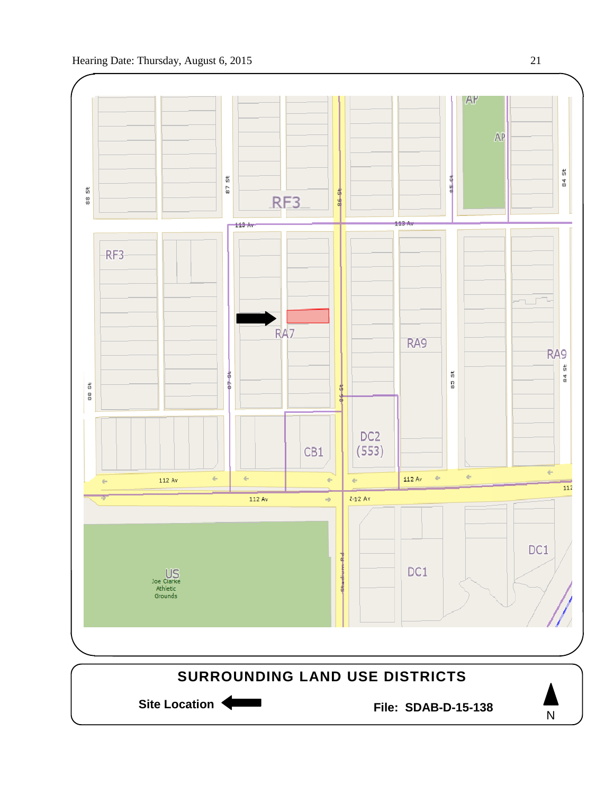